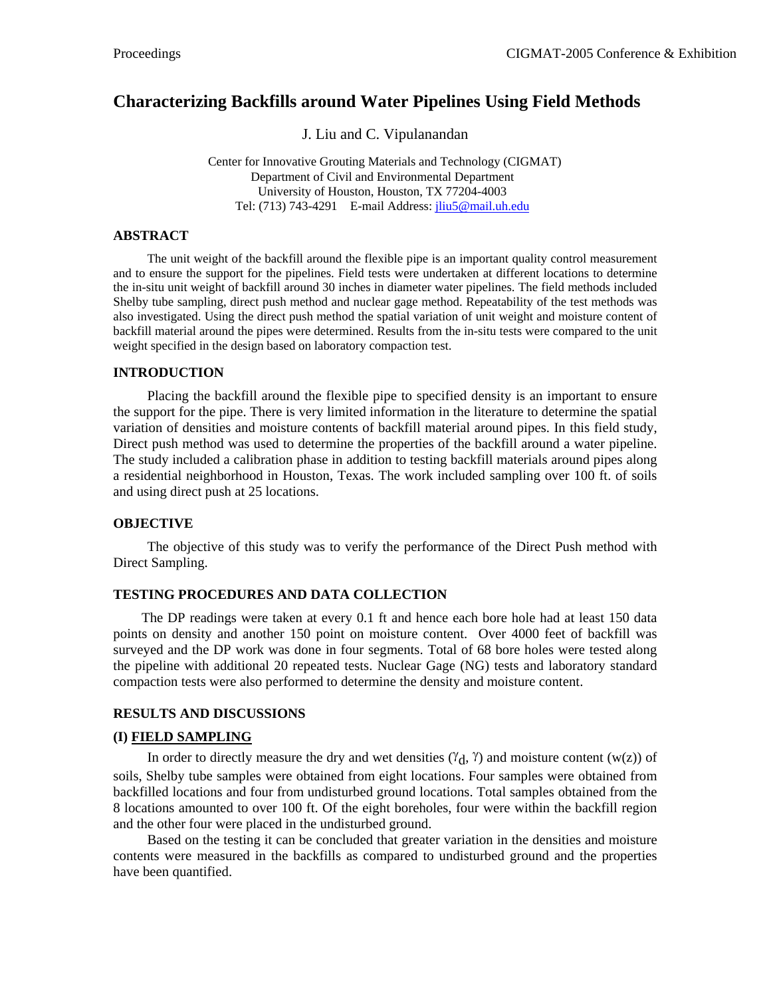# **Characterizing Backfills around Water Pipelines Using Field Methods**

J. Liu and C. Vipulanandan

Center for Innovative Grouting Materials and Technology (CIGMAT) Department of Civil and Environmental Department University of Houston, Houston, TX 77204-4003 Tel: (713) 743-4291 E-mail Address: [jliu5@mail.uh.edu](mailto:jliu5@mail.uh.edu)

## **ABSTRACT**

The unit weight of the backfill around the flexible pipe is an important quality control measurement and to ensure the support for the pipelines. Field tests were undertaken at different locations to determine the in-situ unit weight of backfill around 30 inches in diameter water pipelines. The field methods included Shelby tube sampling, direct push method and nuclear gage method. Repeatability of the test methods was also investigated. Using the direct push method the spatial variation of unit weight and moisture content of backfill material around the pipes were determined. Results from the in-situ tests were compared to the unit weight specified in the design based on laboratory compaction test.

#### **INTRODUCTION**

Placing the backfill around the flexible pipe to specified density is an important to ensure the support for the pipe. There is very limited information in the literature to determine the spatial variation of densities and moisture contents of backfill material around pipes. In this field study, Direct push method was used to determine the properties of the backfill around a water pipeline. The study included a calibration phase in addition to testing backfill materials around pipes along a residential neighborhood in Houston, Texas. The work included sampling over 100 ft. of soils and using direct push at 25 locations.

#### **OBJECTIVE**

The objective of this study was to verify the performance of the Direct Push method with Direct Sampling.

## **TESTING PROCEDURES AND DATA COLLECTION**

The DP readings were taken at every 0.1 ft and hence each bore hole had at least 150 data points on density and another 150 point on moisture content. Over 4000 feet of backfill was surveyed and the DP work was done in four segments. Total of 68 bore holes were tested along the pipeline with additional 20 repeated tests. Nuclear Gage (NG) tests and laboratory standard compaction tests were also performed to determine the density and moisture content.

#### **RESULTS AND DISCUSSIONS**

#### **(I) FIELD SAMPLING**

In order to directly measure the dry and wet densities  $(\gamma_d, \gamma)$  and moisture content  $(w(z))$  of soils, Shelby tube samples were obtained from eight locations. Four samples were obtained from backfilled locations and four from undisturbed ground locations. Total samples obtained from the 8 locations amounted to over 100 ft. Of the eight boreholes, four were within the backfill region and the other four were placed in the undisturbed ground.

Based on the testing it can be concluded that greater variation in the densities and moisture contents were measured in the backfills as compared to undisturbed ground and the properties have been quantified.